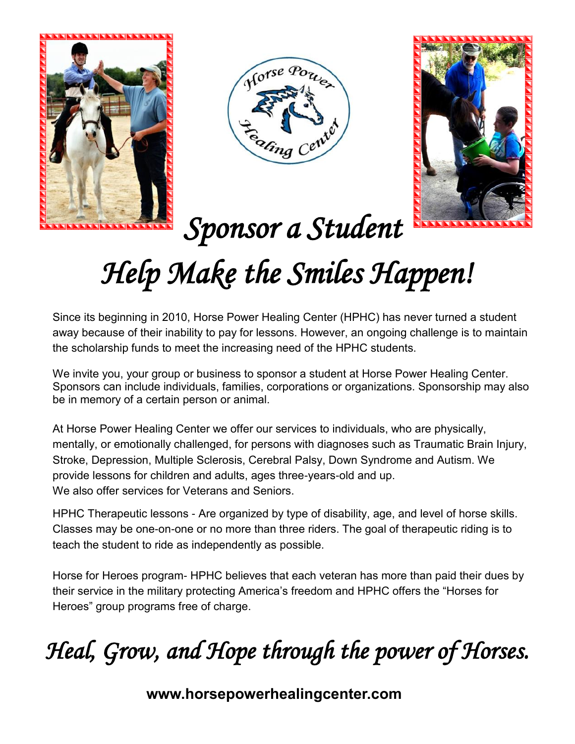





 *Sponsor a Student* 

## *Help Make the Smiles Happen!*

Since its beginning in 2010, Horse Power Healing Center (HPHC) has never turned a student away because of their inability to pay for lessons. However, an ongoing challenge is to maintain the scholarship funds to meet the increasing need of the HPHC students.

We invite you, your group or business to sponsor a student at Horse Power Healing Center. Sponsors can include individuals, families, corporations or organizations. Sponsorship may also be in memory of a certain person or animal.

At Horse Power Healing Center we offer our services to individuals, who are physically, mentally, or emotionally challenged, for persons with diagnoses such as Traumatic Brain Injury, Stroke, Depression, Multiple Sclerosis, Cerebral Palsy, Down Syndrome and Autism. We provide lessons for children and adults, ages three-years-old and up. We also offer services for Veterans and Seniors.

HPHC Therapeutic lessons - Are organized by type of disability, age, and level of horse skills. Classes may be one-on-one or no more than three riders. The goal of therapeutic riding is to teach the student to ride as independently as possible.

Horse for Heroes program- HPHC believes that each veteran has more than paid their dues by their service in the military protecting America's freedom and HPHC offers the "Horses for Heroes" group programs free of charge.

## *Heal, Grow, and Hope through the power of Horses.*

**www.horsepowerhealingcenter.com**